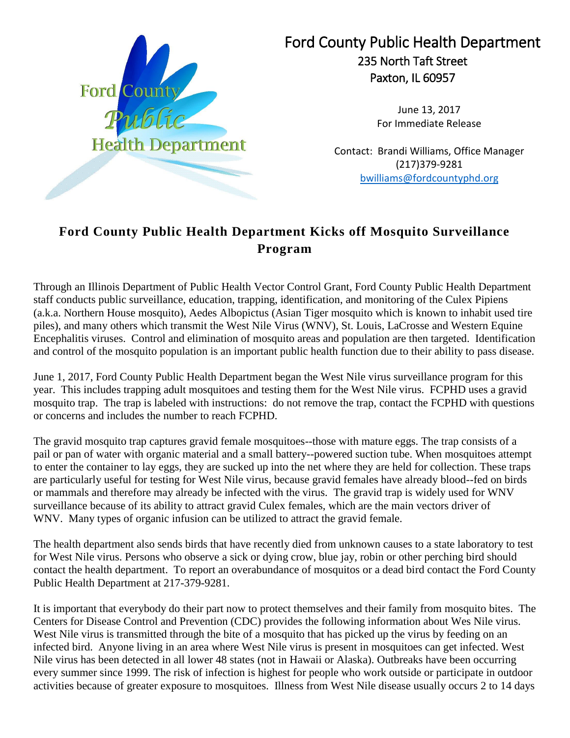

Ford County Public Health Department 235 North Taft Street Paxton, IL 60957

> June 13, 2017 For Immediate Release

Contact: Brandi Williams, Office Manager (217)379-9281 [bwilliams@fordcountyphd.org](mailto:bwilliams@fordcountyphd.org)

## **Ford County Public Health Department Kicks off Mosquito Surveillance Program**

Through an Illinois Department of Public Health Vector Control Grant, Ford County Public Health Department staff conducts public surveillance, education, trapping, identification, and monitoring of the Culex Pipiens (a.k.a. Northern House mosquito), Aedes Albopictus (Asian Tiger mosquito which is known to inhabit used tire piles), and many others which transmit the West Nile Virus (WNV), St. Louis, LaCrosse and Western Equine Encephalitis viruses. Control and elimination of mosquito areas and population are then targeted. Identification and control of the mosquito population is an important public health function due to their ability to pass disease.

June 1, 2017, Ford County Public Health Department began the West Nile virus surveillance program for this year. This includes trapping adult mosquitoes and testing them for the West Nile virus. FCPHD uses a gravid mosquito trap. The trap is labeled with instructions: do not remove the trap, contact the FCPHD with questions or concerns and includes the number to reach FCPHD.

The gravid mosquito trap captures gravid female mosquitoes--those with mature eggs. The trap consists of a pail or pan of water with organic material and a small battery--powered suction tube. When mosquitoes attempt to enter the container to lay eggs, they are sucked up into the net where they are held for collection. These traps are particularly useful for testing for West Nile virus, because gravid females have already blood--fed on birds or mammals and therefore may already be infected with the virus. The gravid trap is widely used for WNV surveillance because of its ability to attract gravid Culex females, which are the main vectors driver of WNV. Many types of organic infusion can be utilized to attract the gravid female.

The health department also sends birds that have recently died from unknown causes to a state laboratory to test for West Nile virus. Persons who observe a sick or dying crow, blue jay, robin or other perching bird should contact the health department. To report an overabundance of mosquitos or a dead bird contact the Ford County Public Health Department at 217-379-9281.

It is important that everybody do their part now to protect themselves and their family from mosquito bites. The Centers for Disease Control and Prevention (CDC) provides the following information about Wes Nile virus. West Nile virus is transmitted through the bite of a mosquito that has picked up the virus by feeding on an infected bird. Anyone living in an area where West Nile virus is present in mosquitoes can get infected. West Nile virus has been detected in all lower 48 states (not in Hawaii or Alaska). Outbreaks have been occurring every summer since 1999. The risk of infection is highest for people who work outside or participate in outdoor activities because of greater exposure to mosquitoes. Illness from West Nile disease usually occurs 2 to 14 days